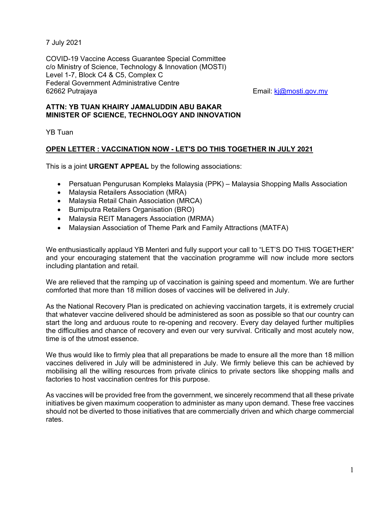7 July 2021

COVID-19 Vaccine Access Guarantee Special Committee c/o Ministry of Science, Technology & Innovation (MOSTI) Level 1-7, Block C4 & C5, Complex C Federal Government Administrative Centre 62662 Putrajaya Email: kj@mosti.gov.my

## **ATTN: YB TUAN KHAIRY JAMALUDDIN ABU BAKAR MINISTER OF SCIENCE, TECHNOLOGY AND INNOVATION**

YB Tuan

## **OPEN LETTER : VACCINATION NOW - LET'S DO THIS TOGETHER IN JULY 2021**

This is a joint **URGENT APPEAL** by the following associations:

- Persatuan Pengurusan Kompleks Malaysia (PPK) Malaysia Shopping Malls Association
- Malaysia Retailers Association (MRA)
- Malaysia Retail Chain Association (MRCA)
- **•** Bumiputra Retailers Organisation (BRO)
- Malaysia REIT Managers Association (MRMA)
- Malaysian Association of Theme Park and Family Attractions (MATFA)

We enthusiastically applaud YB Menteri and fully support your call to "LET'S DO THIS TOGETHER" and your encouraging statement that the vaccination programme will now include more sectors including plantation and retail.

We are relieved that the ramping up of vaccination is gaining speed and momentum. We are further comforted that more than 18 million doses of vaccines will be delivered in July.

As the National Recovery Plan is predicated on achieving vaccination targets, it is extremely crucial that whatever vaccine delivered should be administered as soon as possible so that our country can start the long and arduous route to re-opening and recovery. Every day delayed further multiplies the difficulties and chance of recovery and even our very survival. Critically and most acutely now, time is of the utmost essence.

We thus would like to firmly plea that all preparations be made to ensure all the more than 18 million vaccines delivered in July will be administered in July. We firmly believe this can be achieved by mobilising all the willing resources from private clinics to private sectors like shopping malls and factories to host vaccination centres for this purpose.

As vaccines will be provided free from the government, we sincerely recommend that all these private initiatives be given maximum cooperation to administer as many upon demand. These free vaccines should not be diverted to those initiatives that are commercially driven and which charge commercial rates.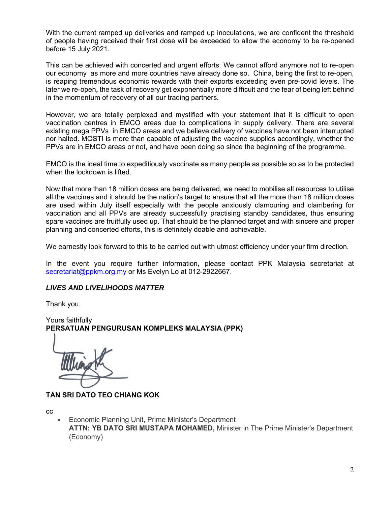With the current ramped up deliveries and ramped up inoculations, we are confident the threshold of people having received their first dose will be exceeded to allow the economy to be re-opened before 15 July 2021.

This can be achieved with concerted and urgent efforts. We cannot afford anymore not to re-open our economy as more and more countries have already done so. China, being the first to re-open, is reaping tremendous economic rewards with their exports exceeding even pre-covid levels. The later we re-open**,** the task of recovery get exponentially more difficult and the fear of being left behind in the momentum of recovery of all our trading partners.

However, we are totally perplexed and mystified with your statement that it is difficult to open vaccination centres in EMCO areas due to complications in supply delivery. There are several existing mega PPVs in EMCO areas and we believe delivery of vaccines have not been interrupted nor halted. MOSTI is more than capable of adjusting the vaccine supplies accordingly, whether the PPVs are in EMCO areas or not, and have been doing so since the beginning of the programme.

EMCO is the ideal time to expeditiously vaccinate as many people as possible so as to be protected when the lockdown is lifted.

Now that more than 18 million doses are being delivered, we need to mobilise all resources to utilise all the vaccines and it should be the nation's target to ensure that all the more than 18 million doses are used within July itself especially with the people anxiously clamouring and clambering for vaccination and all PPVs are already successfully practising standby candidates, thus ensuring spare vaccines are fruitfully used up. That should be the planned target and with sincere and proper planning and concerted efforts, this is definitely doable and achievable.

We earnestly look forward to this to be carried out with utmost efficiency under your firm direction.

In the event you require further information, please contact PPK Malaysia secretariat at secretariat@ppkm.org.my or Ms Evelyn Lo at 012-2922667.

## *LIVES AND LIVELIHOODS MATTER*

Thank you.

Yours faithfully **PERSATUAN PENGURUSAN KOMPLEKS MALAYSIA (PPK)** 

**TAN SRI DATO TEO CHIANG KOK** 

cc

 Economic Planning Unit, Prime Minister's Department **ATTN: YB DATO SRI MUSTAPA MOHAMED,** Minister in The Prime Minister's Department (Economy)